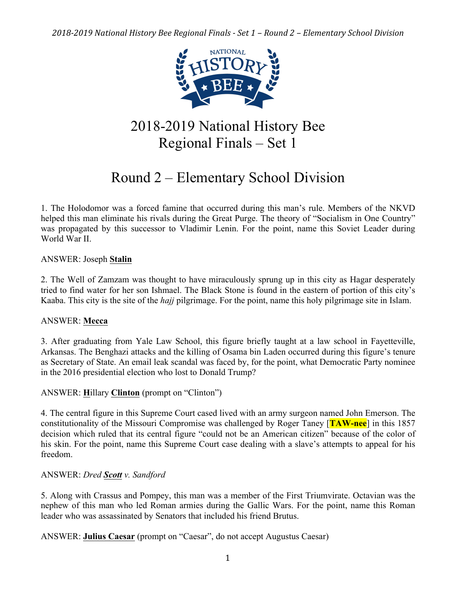

# 2018-2019 National History Bee Regional Finals – Set 1

# Round 2 – Elementary School Division

1. The Holodomor was a forced famine that occurred during this man's rule. Members of the NKVD helped this man eliminate his rivals during the Great Purge. The theory of "Socialism in One Country" was propagated by this successor to Vladimir Lenin. For the point, name this Soviet Leader during World War II.

# ANSWER: Joseph **Stalin**

2. The Well of Zamzam was thought to have miraculously sprung up in this city as Hagar desperately tried to find water for her son Ishmael. The Black Stone is found in the eastern of portion of this city's Kaaba. This city is the site of the *hajj* pilgrimage. For the point, name this holy pilgrimage site in Islam.

# ANSWER: **Mecca**

3. After graduating from Yale Law School, this figure briefly taught at a law school in Fayetteville, Arkansas. The Benghazi attacks and the killing of Osama bin Laden occurred during this figure's tenure as Secretary of State. An email leak scandal was faced by, for the point, what Democratic Party nominee in the 2016 presidential election who lost to Donald Trump?

# ANSWER: **H**illary **Clinton** (prompt on "Clinton")

4. The central figure in this Supreme Court cased lived with an army surgeon named John Emerson. The constitutionality of the Missouri Compromise was challenged by Roger Taney [**TAW-nee**] in this 1857 decision which ruled that its central figure "could not be an American citizen" because of the color of his skin. For the point, name this Supreme Court case dealing with a slave's attempts to appeal for his freedom.

# ANSWER: *Dred Scott v. Sandford*

5. Along with Crassus and Pompey, this man was a member of the First Triumvirate. Octavian was the nephew of this man who led Roman armies during the Gallic Wars. For the point, name this Roman leader who was assassinated by Senators that included his friend Brutus.

ANSWER: **Julius Caesar** (prompt on "Caesar", do not accept Augustus Caesar)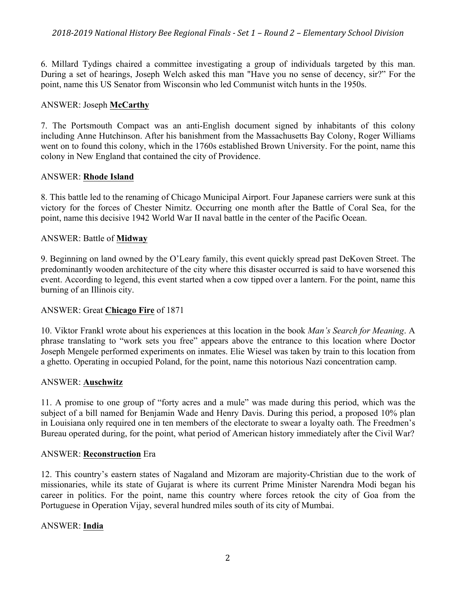6. Millard Tydings chaired a committee investigating a group of individuals targeted by this man. During a set of hearings, Joseph Welch asked this man "Have you no sense of decency, sir?" For the point, name this US Senator from Wisconsin who led Communist witch hunts in the 1950s.

## ANSWER: Joseph **McCarthy**

7. The Portsmouth Compact was an anti-English document signed by inhabitants of this colony including Anne Hutchinson. After his banishment from the Massachusetts Bay Colony, Roger Williams went on to found this colony, which in the 1760s established Brown University. For the point, name this colony in New England that contained the city of Providence.

## ANSWER: **Rhode Island**

8. This battle led to the renaming of Chicago Municipal Airport. Four Japanese carriers were sunk at this victory for the forces of Chester Nimitz. Occurring one month after the Battle of Coral Sea, for the point, name this decisive 1942 World War II naval battle in the center of the Pacific Ocean.

## ANSWER: Battle of **Midway**

9. Beginning on land owned by the O'Leary family, this event quickly spread past DeKoven Street. The predominantly wooden architecture of the city where this disaster occurred is said to have worsened this event. According to legend, this event started when a cow tipped over a lantern. For the point, name this burning of an Illinois city.

# ANSWER: Great **Chicago Fire** of 1871

10. Viktor Frankl wrote about his experiences at this location in the book *Man's Search for Meaning*. A phrase translating to "work sets you free" appears above the entrance to this location where Doctor Joseph Mengele performed experiments on inmates. Elie Wiesel was taken by train to this location from a ghetto. Operating in occupied Poland, for the point, name this notorious Nazi concentration camp.

## ANSWER: **Auschwitz**

11. A promise to one group of "forty acres and a mule" was made during this period, which was the subject of a bill named for Benjamin Wade and Henry Davis. During this period, a proposed 10% plan in Louisiana only required one in ten members of the electorate to swear a loyalty oath. The Freedmen's Bureau operated during, for the point, what period of American history immediately after the Civil War?

## ANSWER: **Reconstruction** Era

12. This country's eastern states of Nagaland and Mizoram are majority-Christian due to the work of missionaries, while its state of Gujarat is where its current Prime Minister Narendra Modi began his career in politics. For the point, name this country where forces retook the city of Goa from the Portuguese in Operation Vijay, several hundred miles south of its city of Mumbai.

# ANSWER: **India**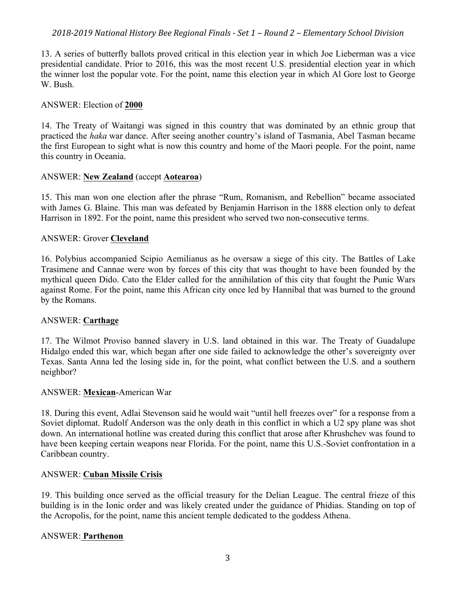13. A series of butterfly ballots proved critical in this election year in which Joe Lieberman was a vice presidential candidate. Prior to 2016, this was the most recent U.S. presidential election year in which the winner lost the popular vote. For the point, name this election year in which Al Gore lost to George W. Bush.

### ANSWER: Election of **2000**

14. The Treaty of Waitangi was signed in this country that was dominated by an ethnic group that practiced the *haka* war dance. After seeing another country's island of Tasmania, Abel Tasman became the first European to sight what is now this country and home of the Maori people. For the point, name this country in Oceania.

#### ANSWER: **New Zealand** (accept **Aotearoa**)

15. This man won one election after the phrase "Rum, Romanism, and Rebellion" became associated with James G. Blaine. This man was defeated by Benjamin Harrison in the 1888 election only to defeat Harrison in 1892. For the point, name this president who served two non-consecutive terms.

#### ANSWER: Grover **Cleveland**

16. Polybius accompanied Scipio Aemilianus as he oversaw a siege of this city. The Battles of Lake Trasimene and Cannae were won by forces of this city that was thought to have been founded by the mythical queen Dido. Cato the Elder called for the annihilation of this city that fought the Punic Wars against Rome. For the point, name this African city once led by Hannibal that was burned to the ground by the Romans.

## ANSWER: **Carthage**

17. The Wilmot Proviso banned slavery in U.S. land obtained in this war. The Treaty of Guadalupe Hidalgo ended this war, which began after one side failed to acknowledge the other's sovereignty over Texas. Santa Anna led the losing side in, for the point, what conflict between the U.S. and a southern neighbor?

#### ANSWER: **Mexican**-American War

18. During this event, Adlai Stevenson said he would wait "until hell freezes over" for a response from a Soviet diplomat. Rudolf Anderson was the only death in this conflict in which a U2 spy plane was shot down. An international hotline was created during this conflict that arose after Khrushchev was found to have been keeping certain weapons near Florida. For the point, name this U.S.-Soviet confrontation in a Caribbean country.

#### ANSWER: **Cuban Missile Crisis**

19. This building once served as the official treasury for the Delian League. The central frieze of this building is in the Ionic order and was likely created under the guidance of Phidias. Standing on top of the Acropolis, for the point, name this ancient temple dedicated to the goddess Athena.

## ANSWER: **Parthenon**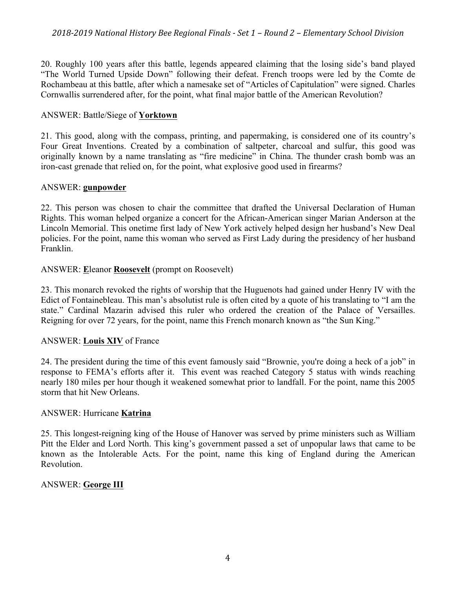20. Roughly 100 years after this battle, legends appeared claiming that the losing side's band played "The World Turned Upside Down" following their defeat. French troops were led by the Comte de Rochambeau at this battle, after which a namesake set of "Articles of Capitulation" were signed. Charles Cornwallis surrendered after, for the point, what final major battle of the American Revolution?

## ANSWER: Battle/Siege of **Yorktown**

21. This good, along with the compass, printing, and papermaking, is considered one of its country's Four Great Inventions. Created by a combination of saltpeter, charcoal and sulfur, this good was originally known by a name translating as "fire medicine" in China. The thunder crash bomb was an iron-cast grenade that relied on, for the point, what explosive good used in firearms?

## ANSWER: **gunpowder**

22. This person was chosen to chair the committee that drafted the Universal Declaration of Human Rights. This woman helped organize a concert for the African-American singer Marian Anderson at the Lincoln Memorial. This onetime first lady of New York actively helped design her husband's New Deal policies. For the point, name this woman who served as First Lady during the presidency of her husband Franklin.

## ANSWER: **E**leanor **Roosevelt** (prompt on Roosevelt)

23. This monarch revoked the rights of worship that the Huguenots had gained under Henry IV with the Edict of Fontainebleau. This man's absolutist rule is often cited by a quote of his translating to "I am the state." Cardinal Mazarin advised this ruler who ordered the creation of the Palace of Versailles. Reigning for over 72 years, for the point, name this French monarch known as "the Sun King."

# ANSWER: **Louis XIV** of France

24. The president during the time of this event famously said "Brownie, you're doing a heck of a job" in response to FEMA's efforts after it. This event was reached Category 5 status with winds reaching nearly 180 miles per hour though it weakened somewhat prior to landfall. For the point, name this 2005 storm that hit New Orleans.

## ANSWER: Hurricane **Katrina**

25. This longest-reigning king of the House of Hanover was served by prime ministers such as William Pitt the Elder and Lord North. This king's government passed a set of unpopular laws that came to be known as the Intolerable Acts. For the point, name this king of England during the American Revolution.

# ANSWER: **George III**